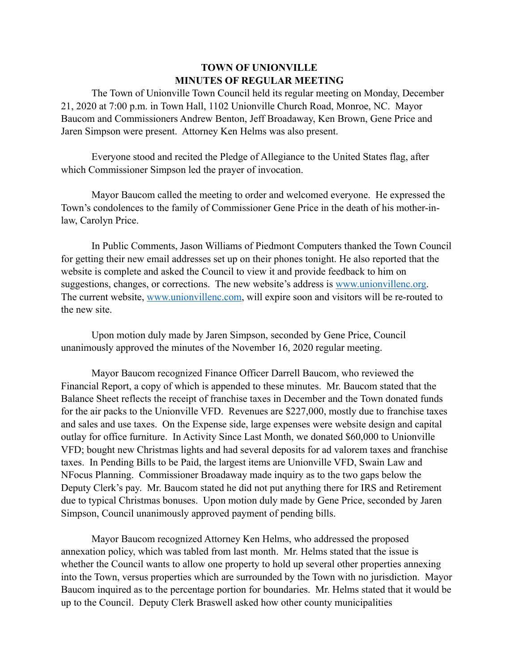## **TOWN OF UNIONVILLE MINUTES OF REGULAR MEETING**

 The Town of Unionville Town Council held its regular meeting on Monday, December 21, 2020 at 7:00 p.m. in Town Hall, 1102 Unionville Church Road, Monroe, NC. Mayor Baucom and Commissioners Andrew Benton, Jeff Broadaway, Ken Brown, Gene Price and Jaren Simpson were present. Attorney Ken Helms was also present.

 Everyone stood and recited the Pledge of Allegiance to the United States flag, after which Commissioner Simpson led the prayer of invocation.

 Mayor Baucom called the meeting to order and welcomed everyone. He expressed the Town's condolences to the family of Commissioner Gene Price in the death of his mother-inlaw, Carolyn Price.

 In Public Comments, Jason Williams of Piedmont Computers thanked the Town Council for getting their new email addresses set up on their phones tonight. He also reported that the website is complete and asked the Council to view it and provide feedback to him on suggestions, changes, or corrections. The new website's address is [www.unionvillenc.org](http://www.unionvillenc.org). The current website, [www.unionvillenc.com](http://www.unionvillenc.com), will expire soon and visitors will be re-routed to the new site.

 Upon motion duly made by Jaren Simpson, seconded by Gene Price, Council unanimously approved the minutes of the November 16, 2020 regular meeting.

 Mayor Baucom recognized Finance Officer Darrell Baucom, who reviewed the Financial Report, a copy of which is appended to these minutes. Mr. Baucom stated that the Balance Sheet reflects the receipt of franchise taxes in December and the Town donated funds for the air packs to the Unionville VFD. Revenues are \$227,000, mostly due to franchise taxes and sales and use taxes. On the Expense side, large expenses were website design and capital outlay for office furniture. In Activity Since Last Month, we donated \$60,000 to Unionville VFD; bought new Christmas lights and had several deposits for ad valorem taxes and franchise taxes. In Pending Bills to be Paid, the largest items are Unionville VFD, Swain Law and NFocus Planning. Commissioner Broadaway made inquiry as to the two gaps below the Deputy Clerk's pay. Mr. Baucom stated he did not put anything there for IRS and Retirement due to typical Christmas bonuses. Upon motion duly made by Gene Price, seconded by Jaren Simpson, Council unanimously approved payment of pending bills.

 Mayor Baucom recognized Attorney Ken Helms, who addressed the proposed annexation policy, which was tabled from last month. Mr. Helms stated that the issue is whether the Council wants to allow one property to hold up several other properties annexing into the Town, versus properties which are surrounded by the Town with no jurisdiction. Mayor Baucom inquired as to the percentage portion for boundaries. Mr. Helms stated that it would be up to the Council. Deputy Clerk Braswell asked how other county municipalities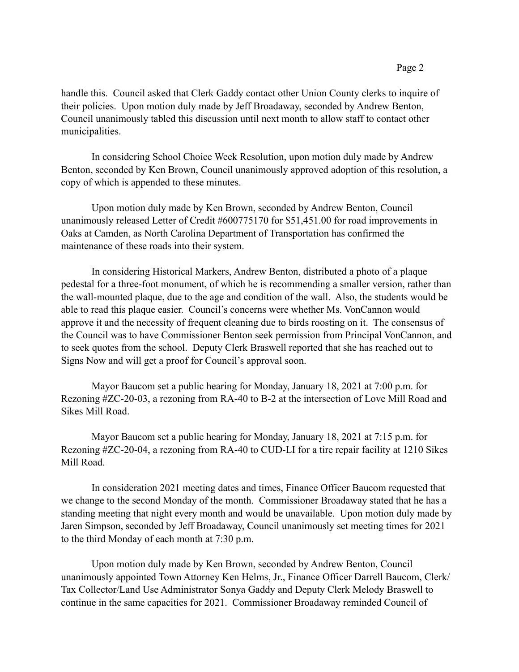handle this. Council asked that Clerk Gaddy contact other Union County clerks to inquire of their policies. Upon motion duly made by Jeff Broadaway, seconded by Andrew Benton, Council unanimously tabled this discussion until next month to allow staff to contact other municipalities.

 In considering School Choice Week Resolution, upon motion duly made by Andrew Benton, seconded by Ken Brown, Council unanimously approved adoption of this resolution, a copy of which is appended to these minutes.

 Upon motion duly made by Ken Brown, seconded by Andrew Benton, Council unanimously released Letter of Credit #600775170 for \$51,451.00 for road improvements in Oaks at Camden, as North Carolina Department of Transportation has confirmed the maintenance of these roads into their system.

 In considering Historical Markers, Andrew Benton, distributed a photo of a plaque pedestal for a three-foot monument, of which he is recommending a smaller version, rather than the wall-mounted plaque, due to the age and condition of the wall. Also, the students would be able to read this plaque easier. Council's concerns were whether Ms. VonCannon would approve it and the necessity of frequent cleaning due to birds roosting on it. The consensus of the Council was to have Commissioner Benton seek permission from Principal VonCannon, and to seek quotes from the school. Deputy Clerk Braswell reported that she has reached out to Signs Now and will get a proof for Council's approval soon.

 Mayor Baucom set a public hearing for Monday, January 18, 2021 at 7:00 p.m. for Rezoning #ZC-20-03, a rezoning from RA-40 to B-2 at the intersection of Love Mill Road and Sikes Mill Road.

 Mayor Baucom set a public hearing for Monday, January 18, 2021 at 7:15 p.m. for Rezoning #ZC-20-04, a rezoning from RA-40 to CUD-LI for a tire repair facility at 1210 Sikes Mill Road.

 In consideration 2021 meeting dates and times, Finance Officer Baucom requested that we change to the second Monday of the month. Commissioner Broadaway stated that he has a standing meeting that night every month and would be unavailable. Upon motion duly made by Jaren Simpson, seconded by Jeff Broadaway, Council unanimously set meeting times for 2021 to the third Monday of each month at 7:30 p.m.

 Upon motion duly made by Ken Brown, seconded by Andrew Benton, Council unanimously appointed Town Attorney Ken Helms, Jr., Finance Officer Darrell Baucom, Clerk/ Tax Collector/Land Use Administrator Sonya Gaddy and Deputy Clerk Melody Braswell to continue in the same capacities for 2021. Commissioner Broadaway reminded Council of